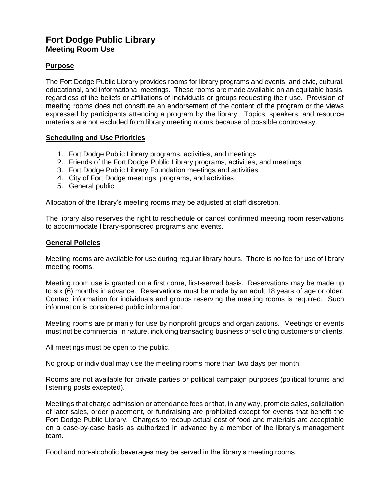## **Fort Dodge Public Library Meeting Room Use**

## **Purpose**

The Fort Dodge Public Library provides rooms for library programs and events, and civic, cultural, educational, and informational meetings. These rooms are made available on an equitable basis, regardless of the beliefs or affiliations of individuals or groups requesting their use. Provision of meeting rooms does not constitute an endorsement of the content of the program or the views expressed by participants attending a program by the library. Topics, speakers, and resource materials are not excluded from library meeting rooms because of possible controversy.

## **Scheduling and Use Priorities**

- 1. Fort Dodge Public Library programs, activities, and meetings
- 2. Friends of the Fort Dodge Public Library programs, activities, and meetings
- 3. Fort Dodge Public Library Foundation meetings and activities
- 4. City of Fort Dodge meetings, programs, and activities
- 5. General public

Allocation of the library's meeting rooms may be adjusted at staff discretion.

The library also reserves the right to reschedule or cancel confirmed meeting room reservations to accommodate library-sponsored programs and events.

## **General Policies**

Meeting rooms are available for use during regular library hours. There is no fee for use of library meeting rooms.

Meeting room use is granted on a first come, first-served basis. Reservations may be made up to six (6) months in advance. Reservations must be made by an adult 18 years of age or older. Contact information for individuals and groups reserving the meeting rooms is required. Such information is considered public information.

Meeting rooms are primarily for use by nonprofit groups and organizations. Meetings or events must not be commercial in nature, including transacting business or soliciting customers or clients.

All meetings must be open to the public.

No group or individual may use the meeting rooms more than two days per month.

Rooms are not available for private parties or political campaign purposes (political forums and listening posts excepted).

Meetings that charge admission or attendance fees or that, in any way, promote sales, solicitation of later sales, order placement, or fundraising are prohibited except for events that benefit the Fort Dodge Public Library. Charges to recoup actual cost of food and materials are acceptable on a case-by-case basis as authorized in advance by a member of the library's management team.

Food and non-alcoholic beverages may be served in the library's meeting rooms.